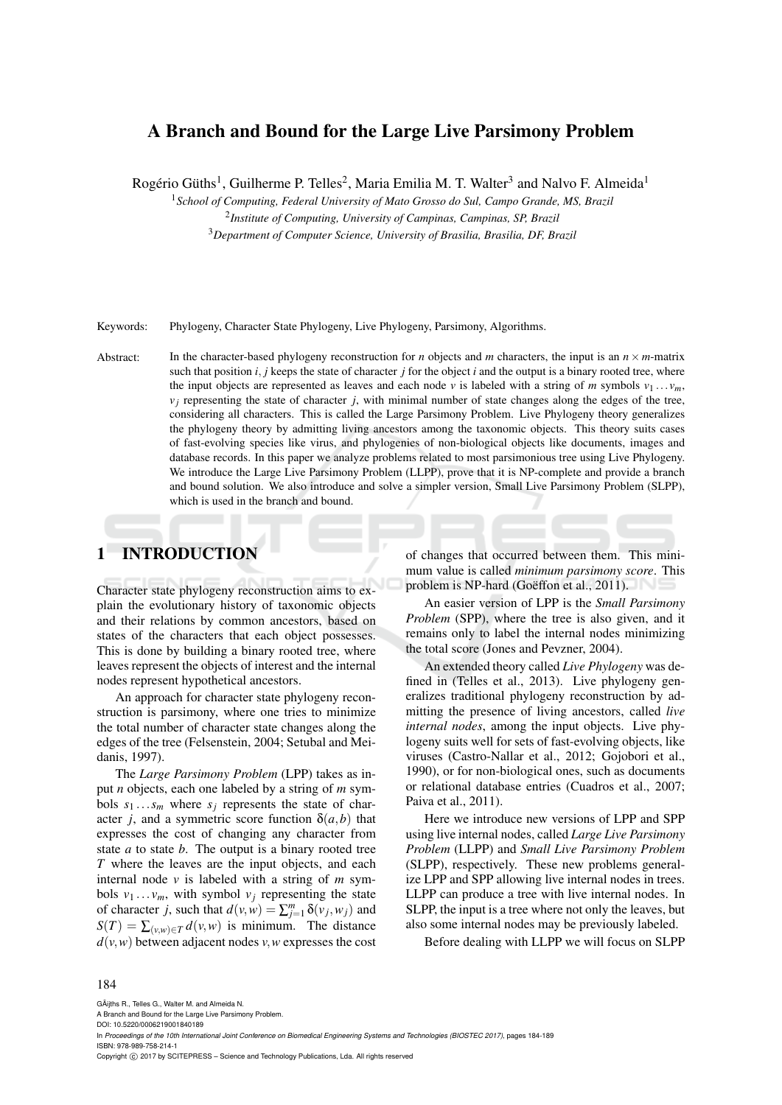## A Branch and Bound for the Large Live Parsimony Problem

Rogério Güths<sup>1</sup>, Guilherme P. Telles<sup>2</sup>, Maria Emilia M. T. Walter<sup>3</sup> and Nalvo F. Almeida<sup>1</sup>

<sup>1</sup>*School of Computing, Federal University of Mato Grosso do Sul, Campo Grande, MS, Brazil*

2 *Institute of Computing, University of Campinas, Campinas, SP, Brazil*

<sup>3</sup>*Department of Computer Science, University of Brasilia, Brasilia, DF, Brazil*

Keywords: Phylogeny, Character State Phylogeny, Live Phylogeny, Parsimony, Algorithms.

Abstract: In the character-based phylogeny reconstruction for *n* objects and *m* characters, the input is an  $n \times m$ -matrix such that position  $i$ ,  $j$  keeps the state of character  $j$  for the object  $i$  and the output is a binary rooted tree, where the input objects are represented as leaves and each node *v* is labeled with a string of *m* symbols  $v_1 \ldots v_m$ ,  $v_j$  representing the state of character  $j$ , with minimal number of state changes along the edges of the tree, considering all characters. This is called the Large Parsimony Problem. Live Phylogeny theory generalizes the phylogeny theory by admitting living ancestors among the taxonomic objects. This theory suits cases of fast-evolving species like virus, and phylogenies of non-biological objects like documents, images and database records. In this paper we analyze problems related to most parsimonious tree using Live Phylogeny. We introduce the Large Live Parsimony Problem (LLPP), prove that it is NP-complete and provide a branch and bound solution. We also introduce and solve a simpler version, Small Live Parsimony Problem (SLPP), which is used in the branch and bound.

# 1 INTRODUCTION

Character state phylogeny reconstruction aims to explain the evolutionary history of taxonomic objects and their relations by common ancestors, based on states of the characters that each object possesses. This is done by building a binary rooted tree, where leaves represent the objects of interest and the internal nodes represent hypothetical ancestors.

An approach for character state phylogeny reconstruction is parsimony, where one tries to minimize the total number of character state changes along the edges of the tree (Felsenstein, 2004; Setubal and Meidanis, 1997).

The *Large Parsimony Problem* (LPP) takes as input *n* objects, each one labeled by a string of *m* symbols  $s_1 \ldots s_m$  where  $s_j$  represents the state of character *j*, and a symmetric score function  $\delta(a,b)$  that expresses the cost of changing any character from state *a* to state *b*. The output is a binary rooted tree *T* where the leaves are the input objects, and each internal node *v* is labeled with a string of *m* symbols  $v_1 \ldots v_m$ , with symbol  $v_j$  representing the state of character *j*, such that  $d(v, w) = \sum_{j=1}^{m} \delta(v_j, w_j)$  and  $S(T) = \sum_{(v,w)\in T} d(v,w)$  is minimum. The distance  $d(v, w)$  between adjacent nodes *v*, *w* expresses the cost

of changes that occurred between them. This minimum value is called *minimum parsimony score*. This problem is NP-hard (Goëffon et al., 2011).

An easier version of LPP is the *Small Parsimony Problem* (SPP), where the tree is also given, and it remains only to label the internal nodes minimizing the total score (Jones and Pevzner, 2004).

An extended theory called *Live Phylogeny* was defined in (Telles et al., 2013). Live phylogeny generalizes traditional phylogeny reconstruction by admitting the presence of living ancestors, called *live internal nodes*, among the input objects. Live phylogeny suits well for sets of fast-evolving objects, like viruses (Castro-Nallar et al., 2012; Gojobori et al., 1990), or for non-biological ones, such as documents or relational database entries (Cuadros et al., 2007; Paiva et al., 2011).

Here we introduce new versions of LPP and SPP using live internal nodes, called *Large Live Parsimony Problem* (LLPP) and *Small Live Parsimony Problem* (SLPP), respectively. These new problems generalize LPP and SPP allowing live internal nodes in trees. LLPP can produce a tree with live internal nodes. In SLPP, the input is a tree where not only the leaves, but also some internal nodes may be previously labeled.

Before dealing with LLPP we will focus on SLPP

#### 184

GÃijths R., Telles G., Walter M. and Almeida N.

Copyright © 2017 by SCITEPRESS - Science and Technology Publications, Lda. All rights reserved

A Branch and Bound for the Large Live Parsimony Problem. DOI: 10.5220/0006219001840189

In *Proceedings of the 10th International Joint Conference on Biomedical Engineering Systems and Technologies (BIOSTEC 2017)*, pages 184-189 ISBN: 978-989-758-214-1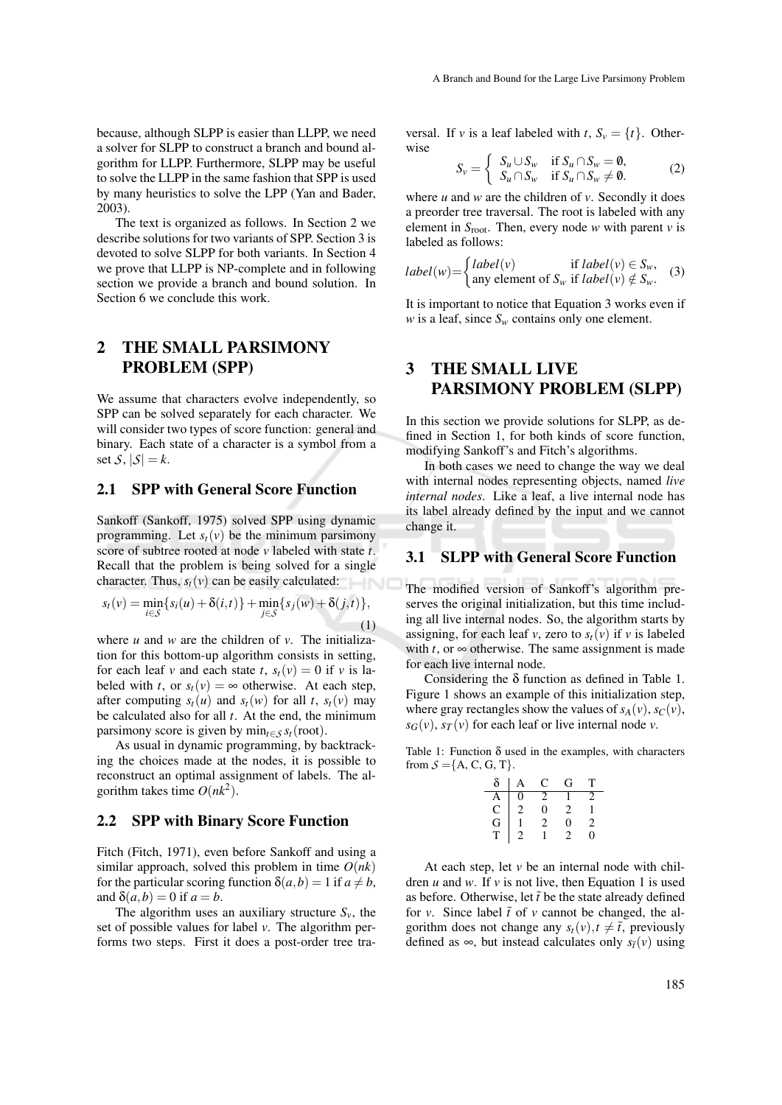because, although SLPP is easier than LLPP, we need a solver for SLPP to construct a branch and bound algorithm for LLPP. Furthermore, SLPP may be useful to solve the LLPP in the same fashion that SPP is used by many heuristics to solve the LPP (Yan and Bader, 2003).

The text is organized as follows. In Section 2 we describe solutions for two variants of SPP. Section 3 is devoted to solve SLPP for both variants. In Section 4 we prove that LLPP is NP-complete and in following section we provide a branch and bound solution. In Section 6 we conclude this work.

## 2 THE SMALL PARSIMONY PROBLEM (SPP)

We assume that characters evolve independently, so SPP can be solved separately for each character. We will consider two types of score function: general and binary. Each state of a character is a symbol from a set  $S$ ,  $|S| = k$ .

#### 2.1 SPP with General Score Function

Sankoff (Sankoff, 1975) solved SPP using dynamic programming. Let  $s_t(v)$  be the minimum parsimony score of subtree rooted at node *v* labeled with state *t*. Recall that the problem is being solved for a single character. Thus,  $s_t(v)$  can be easily calculated:

$$
s_t(v) = \min_{i \in \mathcal{S}} \{ s_i(u) + \delta(i, t) \} + \min_{j \in \mathcal{S}} \{ s_j(w) + \delta(j, t) \},\tag{1}
$$

where *u* and *w* are the children of *v*. The initialization for this bottom-up algorithm consists in setting, for each leaf *v* and each state *t*,  $s_t(v) = 0$  if *v* is labeled with *t*, or  $s_t(v) = \infty$  otherwise. At each step, after computing  $s_t(u)$  and  $s_t(w)$  for all *t*,  $s_t(v)$  may be calculated also for all *t*. At the end, the minimum parsimony score is given by  $\min_{t \in S} s_t(\text{root})$ .

As usual in dynamic programming, by backtracking the choices made at the nodes, it is possible to reconstruct an optimal assignment of labels. The algorithm takes time  $O(nk^2)$ .

#### 2.2 SPP with Binary Score Function

Fitch (Fitch, 1971), even before Sankoff and using a similar approach, solved this problem in time  $O(nk)$ for the particular scoring function  $\delta(a,b) = 1$  if  $a \neq b$ , and  $\delta(a,b) = 0$  if  $a = b$ .

The algorithm uses an auxiliary structure  $S_v$ , the set of possible values for label *v*. The algorithm performs two steps. First it does a post-order tree traversal. If *v* is a leaf labeled with *t*,  $S_v = \{t\}$ . Otherwise

$$
S_v = \begin{cases} S_u \cup S_w & \text{if } S_u \cap S_w = \emptyset, \\ S_u \cap S_w & \text{if } S_u \cap S_w \neq \emptyset. \end{cases}
$$
 (2)

where  $u$  and  $w$  are the children of  $v$ . Secondly it does a preorder tree traversal. The root is labeled with any element in  $S_{\text{root}}$ . Then, every node *w* with parent *v* is labeled as follows:

$$
label(w) = \begin{cases} label(v) & \text{if } label(v) \in S_w, \\ \text{any element of } S_w & \text{if } label(v) \notin S_w. \end{cases}
$$
 (3)

It is important to notice that Equation 3 works even if *w* is a leaf, since  $S_w$  contains only one element.

# 3 THE SMALL LIVE PARSIMONY PROBLEM (SLPP)

In this section we provide solutions for SLPP, as defined in Section 1, for both kinds of score function, modifying Sankoff's and Fitch's algorithms.

In both cases we need to change the way we deal with internal nodes representing objects, named *live internal nodes*. Like a leaf, a live internal node has its label already defined by the input and we cannot change it.

### 3.1 SLPP with General Score Function

The modified version of Sankoff's algorithm preserves the original initialization, but this time including all live internal nodes. So, the algorithm starts by assigning, for each leaf *v*, zero to  $s_t(v)$  if *v* is labeled with  $t$ , or  $\infty$  otherwise. The same assignment is made for each live internal node.

Considering the  $\delta$  function as defined in Table 1. Figure 1 shows an example of this initialization step, where gray rectangles show the values of  $s_A(v)$ ,  $s_C(v)$ ,  $s_G(v)$ ,  $s_T(v)$  for each leaf or live internal node *v*.

Table 1: Function  $\delta$  used in the examples, with characters from  $S = \{A, C, G, T\}.$ 

| δ             | А              | C | G | т  |
|---------------|----------------|---|---|----|
|               | 0              | 2 |   |    |
|               | $\overline{c}$ | 0 | 2 |    |
| A C<br>G<br>T |                | 2 | 0 | 2  |
|               |                |   |   | O) |

At each step, let  $v$  be an internal node with children  $u$  and  $w$ . If  $v$  is not live, then Equation 1 is used as before. Otherwise, let  $\bar{t}$  be the state already defined for *v*. Since label  $\bar{t}$  of *v* cannot be changed, the algorithm does not change any  $s_t(v)$ ,  $t \neq \overline{t}$ , previously defined as ∞, but instead calculates only  $s_{\bar{t}}(v)$  using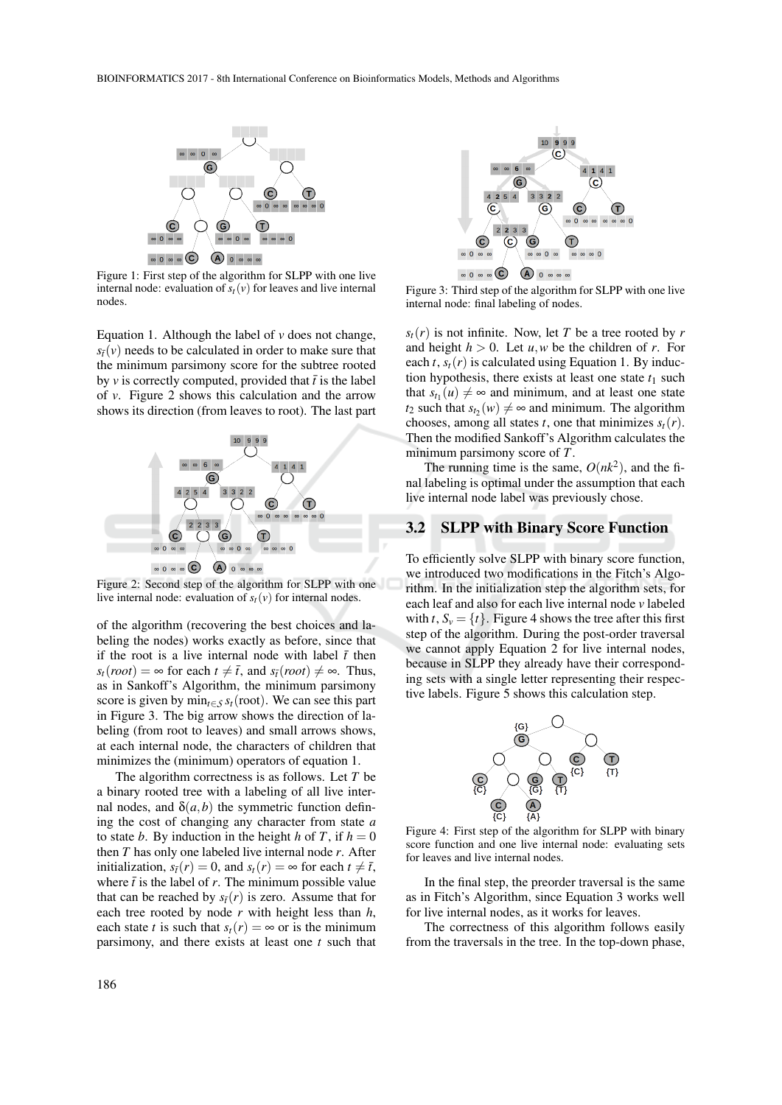

Figure 1: First step of the algorithm for SLPP with one live internal node: evaluation of  $s_t(v)$  for leaves and live internal nodes.

Equation 1. Although the label of *v* does not change,  $s_{\bar{t}}(v)$  needs to be calculated in order to make sure that the minimum parsimony score for the subtree rooted by *v* is correctly computed, provided that  $\bar{t}$  is the label of *v*. Figure 2 shows this calculation and the arrow shows its direction (from leaves to root). The last part



Figure 2: Second step of the algorithm for SLPP with one live internal node: evaluation of  $s_t(v)$  for internal nodes.

of the algorithm (recovering the best choices and labeling the nodes) works exactly as before, since that if the root is a live internal node with label  $\bar{t}$  then  $s_t(root) = \infty$  for each  $t \neq \overline{t}$ , and  $s_{\overline{t}}(root) \neq \infty$ . Thus, as in Sankoff's Algorithm, the minimum parsimony score is given by  $\min_{t \in S} s_t(\text{root})$ . We can see this part in Figure 3. The big arrow shows the direction of labeling (from root to leaves) and small arrows shows, at each internal node, the characters of children that minimizes the (minimum) operators of equation 1.

The algorithm correctness is as follows. Let *T* be a binary rooted tree with a labeling of all live internal nodes, and  $\delta(a,b)$  the symmetric function defining the cost of changing any character from state *a* to state *b*. By induction in the height *h* of *T*, if  $h = 0$ then *T* has only one labeled live internal node *r*. After initialization,  $s_{\bar{t}}(r) = 0$ , and  $s_t(r) = \infty$  for each  $t \neq \bar{t}$ , where  $\bar{t}$  is the label of *r*. The minimum possible value that can be reached by  $s_{\bar{t}}(r)$  is zero. Assume that for each tree rooted by node *r* with height less than *h*, each state *t* is such that  $s_t(r) = \infty$  or is the minimum parsimony, and there exists at least one *t* such that



Figure 3: Third step of the algorithm for SLPP with one live internal node: final labeling of nodes.

 $s_t(r)$  is not infinite. Now, let *T* be a tree rooted by *r* and height  $h > 0$ . Let  $u, w$  be the children of  $r$ . For each  $t$ ,  $s_t(r)$  is calculated using Equation 1. By induction hypothesis, there exists at least one state  $t_1$  such that  $s_{t_1}(u) \neq \infty$  and minimum, and at least one state *t*<sub>2</sub> such that  $s_{t_2}(w) \neq \infty$  and minimum. The algorithm chooses, among all states *t*, one that minimizes  $s_t(r)$ . Then the modified Sankoff's Algorithm calculates the minimum parsimony score of *T*.

The running time is the same,  $O(nk^2)$ , and the final labeling is optimal under the assumption that each live internal node label was previously chose.

#### 3.2 SLPP with Binary Score Function

To efficiently solve SLPP with binary score function, we introduced two modifications in the Fitch's Algorithm. In the initialization step the algorithm sets, for each leaf and also for each live internal node *v* labeled with *t*,  $S_v = \{t\}$ . Figure 4 shows the tree after this first step of the algorithm. During the post-order traversal we cannot apply Equation 2 for live internal nodes, because in SLPP they already have their corresponding sets with a single letter representing their respective labels. Figure 5 shows this calculation step.



Figure 4: First step of the algorithm for SLPP with binary score function and one live internal node: evaluating sets for leaves and live internal nodes.

In the final step, the preorder traversal is the same as in Fitch's Algorithm, since Equation 3 works well for live internal nodes, as it works for leaves.

The correctness of this algorithm follows easily from the traversals in the tree. In the top-down phase,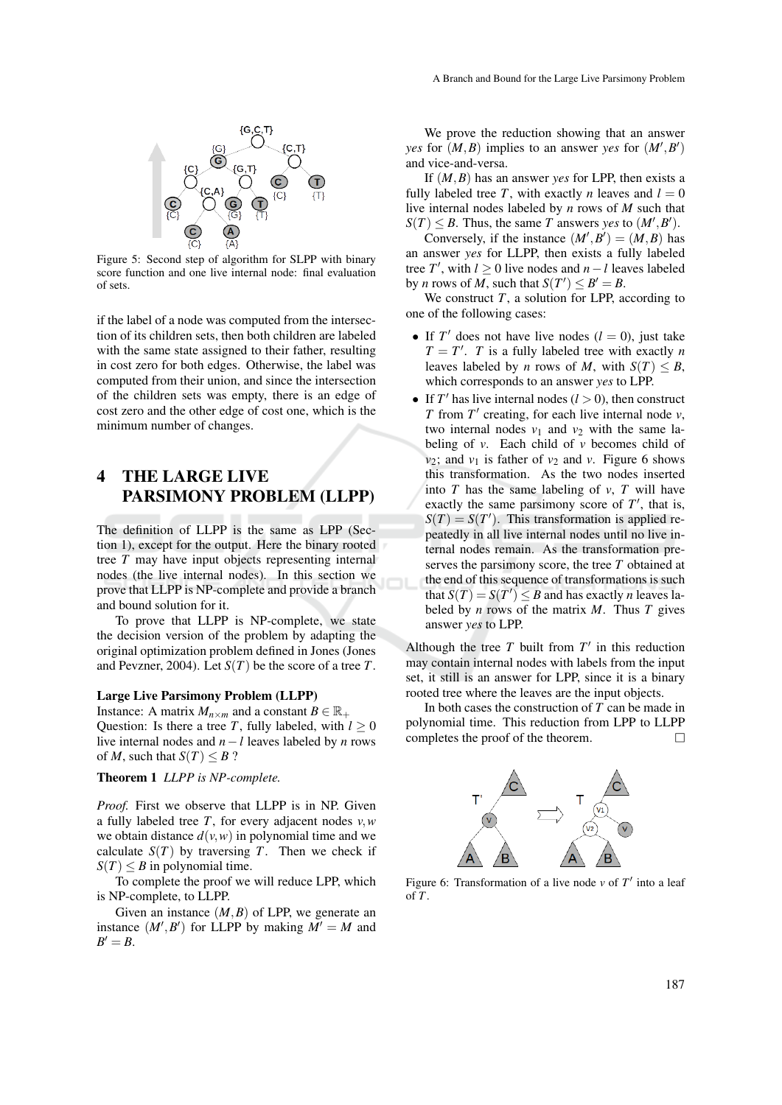

Figure 5: Second step of algorithm for SLPP with binary score function and one live internal node: final evaluation of sets.

if the label of a node was computed from the intersection of its children sets, then both children are labeled with the same state assigned to their father, resulting in cost zero for both edges. Otherwise, the label was computed from their union, and since the intersection of the children sets was empty, there is an edge of cost zero and the other edge of cost one, which is the minimum number of changes.

## 4 THE LARGE LIVE PARSIMONY PROBLEM (LLPP)

The definition of LLPP is the same as LPP (Section 1), except for the output. Here the binary rooted tree *T* may have input objects representing internal nodes (the live internal nodes). In this section we prove that LLPP is NP-complete and provide a branch and bound solution for it.

To prove that LLPP is NP-complete, we state the decision version of the problem by adapting the original optimization problem defined in Jones (Jones and Pevzner, 2004). Let *S*(*T*) be the score of a tree *T*.

#### Large Live Parsimony Problem (LLPP)

Instance: A matrix  $M_{n \times m}$  and a constant  $B \in \mathbb{R}_+$ Question: Is there a tree *T*, fully labeled, with  $l \geq 0$ live internal nodes and *n*−*l* leaves labeled by *n* rows of *M*, such that  $S(T) \leq B$  ?

#### Theorem 1 *LLPP is NP-complete.*

*Proof.* First we observe that LLPP is in NP. Given a fully labeled tree *T*, for every adjacent nodes *v*,*w* we obtain distance  $d(v, w)$  in polynomial time and we calculate  $S(T)$  by traversing *T*. Then we check if  $S(T) \leq B$  in polynomial time.

To complete the proof we will reduce LPP, which is NP-complete, to LLPP.

Given an instance  $(M, B)$  of LPP, we generate an instance  $(M', B')$  for LLPP by making  $M' = M$  and  $B'=B$ .

We prove the reduction showing that an answer *yes* for  $(M, B)$  implies to an answer *yes* for  $(M', B')$ and vice-and-versa.

If (*M*,*B*) has an answer *yes* for LPP, then exists a fully labeled tree *T*, with exactly *n* leaves and  $l = 0$ live internal nodes labeled by *n* rows of *M* such that  $S(T) \leq B$ . Thus, the same *T* answers *yes* to  $(M', B')$ .

Conversely, if the instance  $(M', B') = (M, B)$  has an answer *yes* for LLPP, then exists a fully labeled tree *T'*, with  $l \geq 0$  live nodes and  $n - l$  leaves labeled by *n* rows of *M*, such that  $S(T') \leq B' = B$ .

We construct  $T$ , a solution for LPP, according to one of the following cases:

- If  $T'$  does not have live nodes  $(l = 0)$ , just take  $T = T'$ . *T* is a fully labeled tree with exactly *n* leaves labeled by *n* rows of *M*, with  $S(T) \leq B$ , which corresponds to an answer *yes* to LPP.
- If  $T'$  has live internal nodes  $(l > 0)$ , then construct *T* from  $T'$  creating, for each live internal node *v*, two internal nodes  $v_1$  and  $v_2$  with the same labeling of *v*. Each child of *v* becomes child of  $v_2$ ; and  $v_1$  is father of  $v_2$  and  $v_1$ . Figure 6 shows this transformation. As the two nodes inserted into *T* has the same labeling of *v*, *T* will have exactly the same parsimony score of  $T'$ , that is,  $S(T) = S(T')$ . This transformation is applied repeatedly in all live internal nodes until no live internal nodes remain. As the transformation preserves the parsimony score, the tree *T* obtained at the end of this sequence of transformations is such that  $S(T) = S(T') \leq B$  and has exactly *n* leaves labeled by  $n$  rows of the matrix  $M$ . Thus  $T$  gives answer *yes* to LPP.

Although the tree  $T$  built from  $T'$  in this reduction may contain internal nodes with labels from the input set, it still is an answer for LPP, since it is a binary rooted tree where the leaves are the input objects.

In both cases the construction of *T* can be made in polynomial time. This reduction from LPP to LLPP completes the proof of the theorem.  $\Box$ 



Figure 6: Transformation of a live node  $\nu$  of  $T'$  into a leaf of *T*.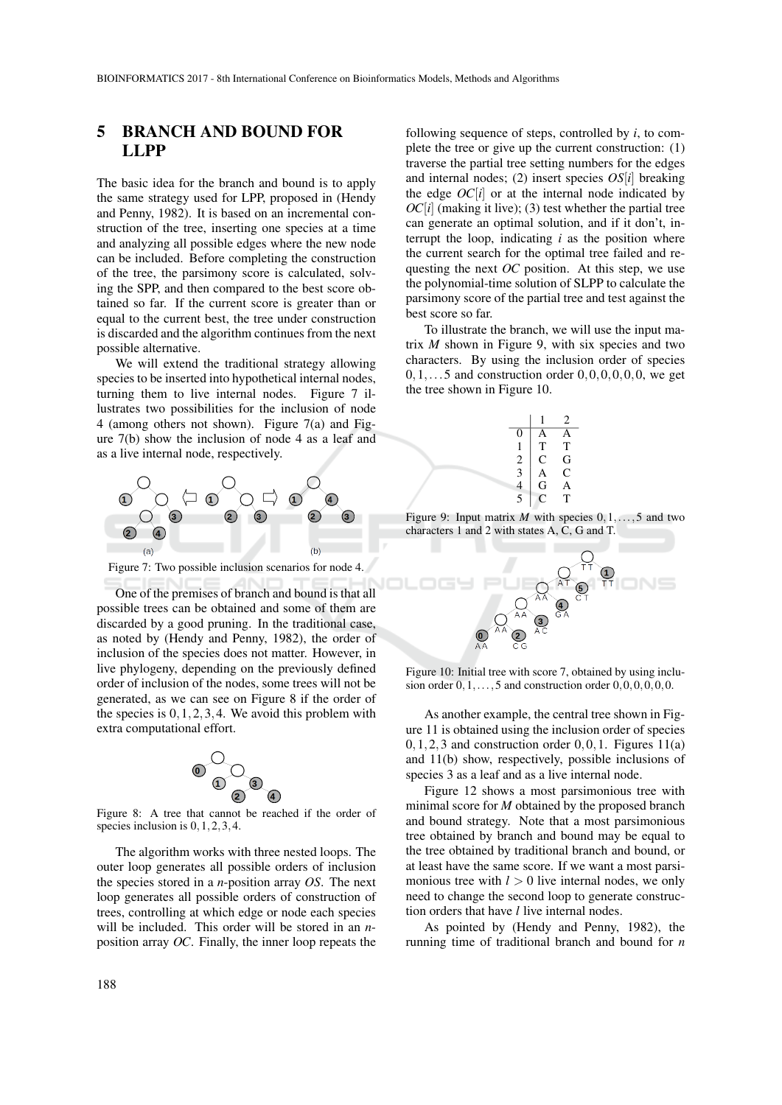### 5 BRANCH AND BOUND FOR LLPP

The basic idea for the branch and bound is to apply the same strategy used for LPP, proposed in (Hendy and Penny, 1982). It is based on an incremental construction of the tree, inserting one species at a time and analyzing all possible edges where the new node can be included. Before completing the construction of the tree, the parsimony score is calculated, solving the SPP, and then compared to the best score obtained so far. If the current score is greater than or equal to the current best, the tree under construction is discarded and the algorithm continues from the next possible alternative.

We will extend the traditional strategy allowing species to be inserted into hypothetical internal nodes, turning them to live internal nodes. Figure 7 illustrates two possibilities for the inclusion of node 4 (among others not shown). Figure 7(a) and Figure 7(b) show the inclusion of node 4 as a leaf and as a live internal node, respectively.



Figure 7: Two possible inclusion scenarios for node 4.

One of the premises of branch and bound is that all possible trees can be obtained and some of them are discarded by a good pruning. In the traditional case, as noted by (Hendy and Penny, 1982), the order of inclusion of the species does not matter. However, in live phylogeny, depending on the previously defined order of inclusion of the nodes, some trees will not be generated, as we can see on Figure 8 if the order of the species is  $0, 1, 2, 3, 4$ . We avoid this problem with extra computational effort.



Figure 8: A tree that cannot be reached if the order of species inclusion is  $0, 1, 2, 3, 4$ .

The algorithm works with three nested loops. The outer loop generates all possible orders of inclusion the species stored in a *n*-position array *OS*. The next loop generates all possible orders of construction of trees, controlling at which edge or node each species will be included. This order will be stored in an *n*position array *OC*. Finally, the inner loop repeats the

following sequence of steps, controlled by *i*, to complete the tree or give up the current construction: (1) traverse the partial tree setting numbers for the edges and internal nodes; (2) insert species *OS*[*i*] breaking the edge  $OC[i]$  or at the internal node indicated by  $OC[i]$  (making it live); (3) test whether the partial tree can generate an optimal solution, and if it don't, interrupt the loop, indicating *i* as the position where the current search for the optimal tree failed and requesting the next *OC* position. At this step, we use the polynomial-time solution of SLPP to calculate the parsimony score of the partial tree and test against the best score so far.

To illustrate the branch, we will use the input matrix *M* shown in Figure 9, with six species and two characters. By using the inclusion order of species  $0,1,\ldots$  5 and construction order  $0,0,0,0,0,$ , we get the tree shown in Figure 10.



Figure 9: Input matrix *M* with species 0,1,...,5 and two characters 1 and 2 with states A, C, G and T.



Figure 10: Initial tree with score 7, obtained by using inclusion order  $0,1,\ldots,5$  and construction order  $0,0,0,0,0,0$ .

As another example, the central tree shown in Figure 11 is obtained using the inclusion order of species  $0,1,2,3$  and construction order  $0,0,1$ . Figures  $11(a)$ and 11(b) show, respectively, possible inclusions of species 3 as a leaf and as a live internal node.

Figure 12 shows a most parsimonious tree with minimal score for *M* obtained by the proposed branch and bound strategy. Note that a most parsimonious tree obtained by branch and bound may be equal to the tree obtained by traditional branch and bound, or at least have the same score. If we want a most parsimonious tree with  $l > 0$  live internal nodes, we only need to change the second loop to generate construction orders that have *l* live internal nodes.

As pointed by (Hendy and Penny, 1982), the running time of traditional branch and bound for *n*